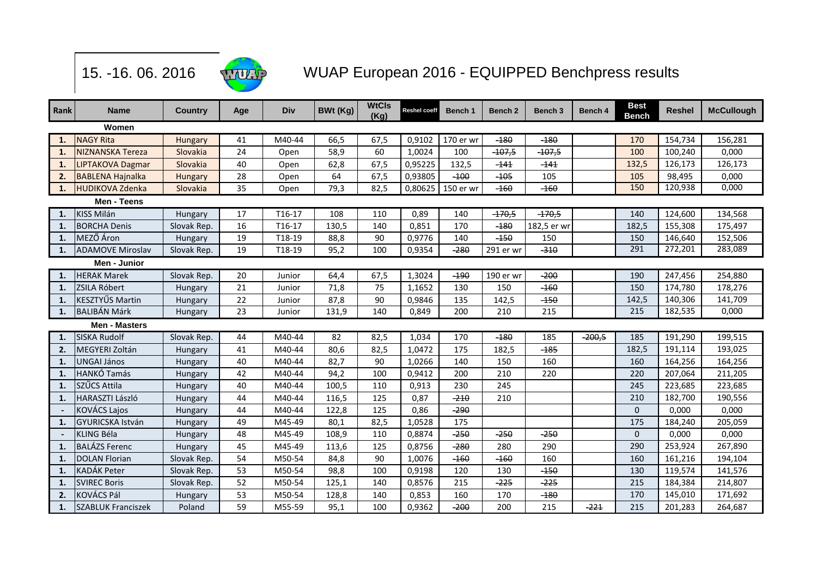

## WUAP European 2016 - EQUIPPED Benchpress results

| Rank         | <b>Name</b>               | <b>Country</b> | Age | <b>Div</b> | BWt (Kg) | <b>WtCls</b><br>(Kg) | <b>Reshel coeff</b> | Bench 1           | Bench <sub>2</sub> | Bench <sub>3</sub> | Bench 4  | <b>Best</b><br><b>Bench</b> | Reshel  | <b>McCullough</b> |
|--------------|---------------------------|----------------|-----|------------|----------|----------------------|---------------------|-------------------|--------------------|--------------------|----------|-----------------------------|---------|-------------------|
| Women        |                           |                |     |            |          |                      |                     |                   |                    |                    |          |                             |         |                   |
| $\mathbf{1}$ | <b>NAGY Rita</b>          | <b>Hungary</b> | 41  | M40-44     | 66,5     | 67,5                 | 0,9102              | 170 er wr         | $-180$             | $-180$             |          | 170                         | 154,734 | 156,281           |
| $\mathbf{1}$ | <b>NIZNANSKA Tereza</b>   | Slovakia       | 24  | Open       | 58,9     | 60                   | 1,0024              | 100               | $-107,5$           | $-107,5$           |          | 100                         | 100,240 | 0,000             |
| $\mathbf{1}$ | LIPTAKOVA Dagmar          | Slovakia       | 40  | Open       | 62,8     | 67,5                 | 0,95225             | 132,5             | $-141$             | $-141$             |          | 132,5                       | 126,173 | 126,173           |
| 2.           | <b>BABLENA Hajnalka</b>   | Hungary        | 28  | Open       | 64       | 67,5                 | 0,93805             | $-100$            | $-105$             | 105                |          | 105                         | 98,495  | 0,000             |
| 1.           | <b>HUDIKOVA Zdenka</b>    | Slovakia       | 35  | Open       | 79,3     | 82,5                 |                     | 0,80625 150 er wr | $-160$             | $-160$             |          | 150                         | 120,938 | 0,000             |
| Men - Teens  |                           |                |     |            |          |                      |                     |                   |                    |                    |          |                             |         |                   |
| $\mathbf{1}$ | <b>KISS Milán</b>         | Hungary        | 17  | T16-17     | 108      | 110                  | 0,89                | 140               | $-170,5$           | $-170,5$           |          | 140                         | 124,600 | 134,568           |
| 1.           | <b>BORCHA Denis</b>       | Slovak Rep.    | 16  | T16-17     | 130,5    | 140                  | 0,851               | 170               | $-180$             | 182,5 er wr        |          | 182,5                       | 155,308 | 175,497           |
| $\mathbf{1}$ | MEZŐ Áron                 | Hungary        | 19  | T18-19     | 88,8     | 90                   | 0,9776              | 140               | $-150$             | 150                |          | 150                         | 146,640 | 152,506           |
| -1.          | <b>ADAMOVE Miroslav</b>   | Slovak Rep.    | 19  | T18-19     | 95,2     | 100                  | 0,9354              | $-280$            | 291 er wr          | $-310$             |          | 291                         | 272,201 | 283,089           |
| Men - Junior |                           |                |     |            |          |                      |                     |                   |                    |                    |          |                             |         |                   |
| $\mathbf{1}$ | <b>HERAK Marek</b>        | Slovak Rep.    | 20  | Junior     | 64,4     | 67,5                 | 1,3024              | $-190$            | 190 er wr          | -200               |          | 190                         | 247,456 | 254,880           |
| 1.           | <b>ZSILA Róbert</b>       | Hungary        | 21  | Junior     | 71,8     | 75                   | 1,1652              | 130               | 150                | $-160$             |          | 150                         | 174,780 | 178,276           |
| $\mathbf{1}$ | KESZTYŰS Martin           | Hungary        | 22  | Junior     | 87,8     | 90                   | 0,9846              | 135               | 142,5              | $-150$             |          | 142,5                       | 140,306 | 141,709           |
| $\mathbf{1}$ | <b>BALIBÁN Márk</b>       | Hungary        | 23  | Junior     | 131,9    | 140                  | 0,849               | 200               | 210                | 215                |          | 215                         | 182,535 | 0,000             |
|              | <b>Men - Masters</b>      |                |     |            |          |                      |                     |                   |                    |                    |          |                             |         |                   |
| $\mathbf{1}$ | <b>SISKA Rudolf</b>       | Slovak Rep.    | 44  | M40-44     | 82       | 82,5                 | 1,034               | 170               | $-180$             | 185                | $-200,5$ | 185                         | 191,290 | 199,515           |
| 2.           | MEGYERI Zoltán            | Hungary        | 41  | M40-44     | 80,6     | 82,5                 | 1,0472              | 175               | 182,5              | $-185$             |          | 182,5                       | 191,114 | 193,025           |
| $\mathbf{1}$ | <b>UNGAI János</b>        | Hungary        | 40  | M40-44     | 82,7     | 90                   | 1,0266              | 140               | 150                | 160                |          | 160                         | 164,256 | 164,256           |
| $\mathbf{1}$ | <b>HANKÓ Tamás</b>        | Hungary        | 42  | M40-44     | 94,2     | 100                  | 0,9412              | 200               | 210                | 220                |          | 220                         | 207,064 | 211,205           |
| $\mathbf{1}$ | SZŰCS Attila              | Hungary        | 40  | M40-44     | 100,5    | 110                  | 0,913               | 230               | 245                |                    |          | 245                         | 223,685 | 223,685           |
| $\mathbf{1}$ | <b>HARASZTI László</b>    | Hungary        | 44  | M40-44     | 116,5    | 125                  | 0,87                | $-210$            | 210                |                    |          | 210                         | 182,700 | 190,556           |
|              | KOVÁCS Lajos              | Hungary        | 44  | M40-44     | 122,8    | 125                  | 0,86                | $-290$            |                    |                    |          | $\mathbf 0$                 | 0,000   | 0,000             |
| $\mathbf{1}$ | <b>GYURICSKA István</b>   | Hungary        | 49  | M45-49     | 80,1     | 82,5                 | 1,0528              | 175               |                    |                    |          | 175                         | 184,240 | 205,059           |
|              | KLING Béla                | Hungary        | 48  | M45-49     | 108,9    | 110                  | 0,8874              | $-250$            | $-250$             | $-250$             |          | $\mathbf 0$                 | 0,000   | 0,000             |
| $\mathbf{1}$ | <b>BALÁZS Ferenc</b>      | Hungary        | 45  | M45-49     | 113,6    | 125                  | 0,8756              | $-280$            | 280                | 290                |          | 290                         | 253,924 | 267,890           |
| $\mathbf{1}$ | <b>DOLAN Florian</b>      | Slovak Rep.    | 54  | M50-54     | 84,8     | 90                   | 1,0076              | $-160$            | $-160$             | 160                |          | 160                         | 161,216 | 194,104           |
| $\mathbf{1}$ | KADÁK Peter               | Slovak Rep.    | 53  | M50-54     | 98,8     | 100                  | 0,9198              | 120               | 130                | $-150$             |          | 130                         | 119,574 | 141,576           |
| $\mathbf{1}$ | <b>SVIREC Boris</b>       | Slovak Rep.    | 52  | M50-54     | 125,1    | 140                  | 0,8576              | 215               | $-225$             | $-225$             |          | 215                         | 184,384 | 214,807           |
| 2.           | KOVÁCS Pál                | Hungary        | 53  | M50-54     | 128,8    | 140                  | 0,853               | 160               | 170                | $-180$             |          | 170                         | 145,010 | 171,692           |
| 1.           | <b>SZABLUK Franciszek</b> | Poland         | 59  | M55-59     | 95,1     | 100                  | 0,9362              | $-200$            | 200                | 215                | $-221$   | 215                         | 201,283 | 264,687           |